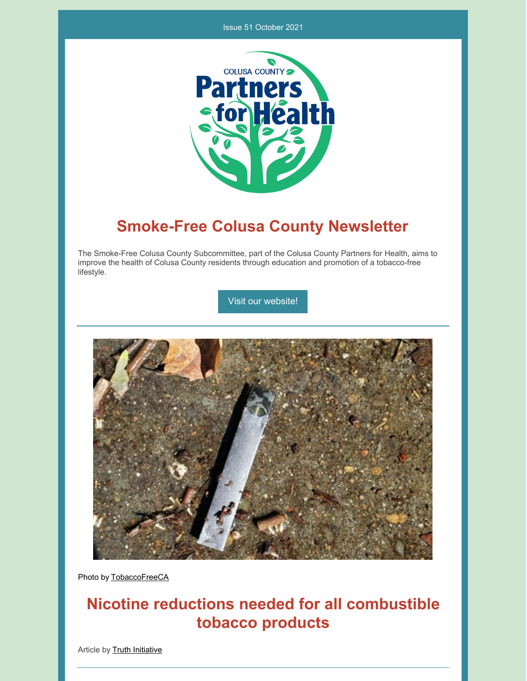#### Issue 51 October 2021



## **Smoke-Free Colusa County Newsletter**

The Smoke-Free Colusa County Subcommittee, part of the Colusa County Partners for Health, aims to improve the health of Colusa County residents through education and promotion of a tobacco-free lifestyle.

Visit our [website!](https://www.countyofcolusa.org/index.aspx?NID=580)



Photo by [TobaccoFreeCA](https://tobaccofreeca.com/e-cigarettes/ecigarettes-tobacco-industry-gateway-to-addiction/)

# **Nicotine reductions needed for all combustible tobacco products**

Article by Truth [Initiative](https://truthinitiative.org/research-resources/traditional-tobacco-products/how-would-smokers-respond-cigarettes-less-nicotine)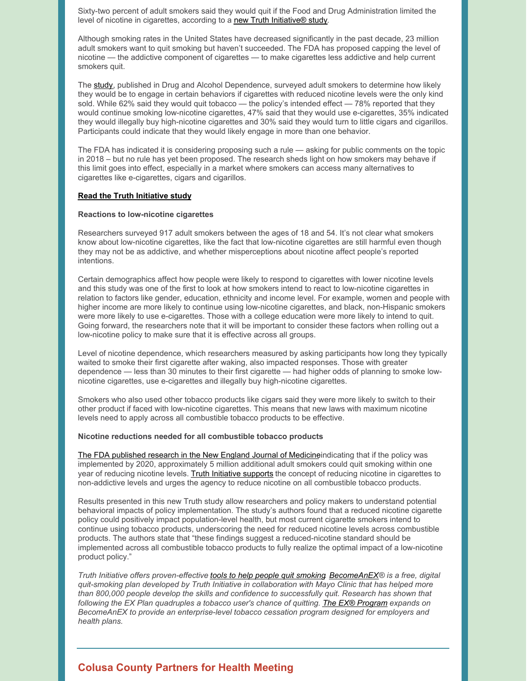Sixty-two percent of adult smokers said they would quit if the Food and Drug Administration limited the level of nicotine in cigarettes, according to a new Truth [Initiative®](https://www.sciencedirect.com/science/article/abs/pii/S0376871619304223) study.

Although smoking rates in the United States have decreased significantly in the past decade, 23 million adult smokers want to quit smoking but haven't succeeded. The FDA has proposed capping the level of nicotine — the addictive component of cigarettes — to make cigarettes less addictive and help current smokers quit.

The [study](https://www.sciencedirect.com/science/article/abs/pii/S0376871619304223), published in Drug and Alcohol Dependence, surveyed adult smokers to determine how likely they would be to engage in certain behaviors if cigarettes with reduced nicotine levels were the only kind sold. While 62% said they would quit tobacco — the policy's intended effect — 78% reported that they would continue smoking low-nicotine cigarettes, 47% said that they would use e-cigarettes, 35% indicated they would illegally buy high-nicotine cigarettes and 30% said they would turn to little cigars and cigarillos. Participants could indicate that they would likely engage in more than one behavior.

The FDA has indicated it is considering proposing such a rule — asking for public comments on the topic in 2018 – but no rule has yet been proposed. The research sheds light on how smokers may behave if this limit goes into effect, especially in a market where smokers can access many alternatives to cigarettes like e-cigarettes, cigars and cigarillos.

#### **Read the Truth [Initiative](https://www.sciencedirect.com/science/article/abs/pii/S0376871619304223) study**

#### **Reactions to low-nicotine cigarettes**

Researchers surveyed 917 adult smokers between the ages of 18 and 54. It's not clear what smokers know about low-nicotine cigarettes, like the fact that low-nicotine cigarettes are still harmful even though they may not be as addictive, and whether misperceptions about nicotine affect people's reported intentions.

Certain demographics affect how people were likely to respond to cigarettes with lower nicotine levels and this study was one of the first to look at how smokers intend to react to low-nicotine cigarettes in relation to factors like gender, education, ethnicity and income level. For example, women and people with higher income are more likely to continue using low-nicotine cigarettes, and black, non-Hispanic smokers were more likely to use e-cigarettes. Those with a college education were more likely to intend to quit. Going forward, the researchers note that it will be important to consider these factors when rolling out a low-nicotine policy to make sure that it is effective across all groups.

Level of nicotine dependence, which researchers measured by asking participants how long they typically waited to smoke their first cigarette after waking, also impacted responses. Those with greater dependence — less than 30 minutes to their first cigarette — had higher odds of planning to smoke lownicotine cigarettes, use e-cigarettes and illegally buy high-nicotine cigarettes.

Smokers who also used other tobacco products like cigars said they were more likely to switch to their other product if faced with low-nicotine cigarettes. This means that new laws with maximum nicotine levels need to apply across all combustible tobacco products to be effective.

#### **Nicotine reductions needed for all combustible tobacco products**

The FDA [published](https://www.fda.gov/tobacco-products/public-health-education/how-could-lowering-nicotine-levels-cigarettes-change-future-public-health) research in the New England Journal of Medicine indicating that if the policy was implemented by 2020, approximately 5 million additional adult smokers could quit smoking within one year of reducing nicotine levels. Truth Initiative [supports](https://truthinitiative.org/press/press-release/less-more-when-it-comes-fdas-game-changing-nicotine-reduction-plan) the concept of reducing nicotine in cigarettes to non-addictive levels and urges the agency to reduce nicotine on all combustible tobacco products.

Results presented in this new Truth study allow researchers and policy makers to understand potential behavioral impacts of policy implementation. The study's authors found that a reduced nicotine cigarette policy could positively impact population-level health, but most current cigarette smokers intend to continue using tobacco products, underscoring the need for reduced nicotine levels across combustible products. The authors state that "these findings suggest a reduced-nicotine standard should be implemented across all combustible tobacco products to fully realize the optimal impact of a low-nicotine product policy."

Truth Initiative offers proven-effective tools to help people quit [smoking](https://truthinitiative.org/what-we-do/quit-smoking-tools) [BecomeAnEX](https://www.becomeanex.org/)® is a free, digital *quit-smoking plan developed by Truth Initiative in collaboration with Mayo Clinic that has helped more than 800,000 people develop the skills and confidence to successfully quit. Research has shown that following the EX Plan quadruples a tobacco user's chance of quitting. The EX® [Program](https://www.theexprogram.com/) expands on BecomeAnEX to provide an enterprise-level tobacco cessation program designed for employers and health plans.*

## **Colusa County Partners for Health Meeting**